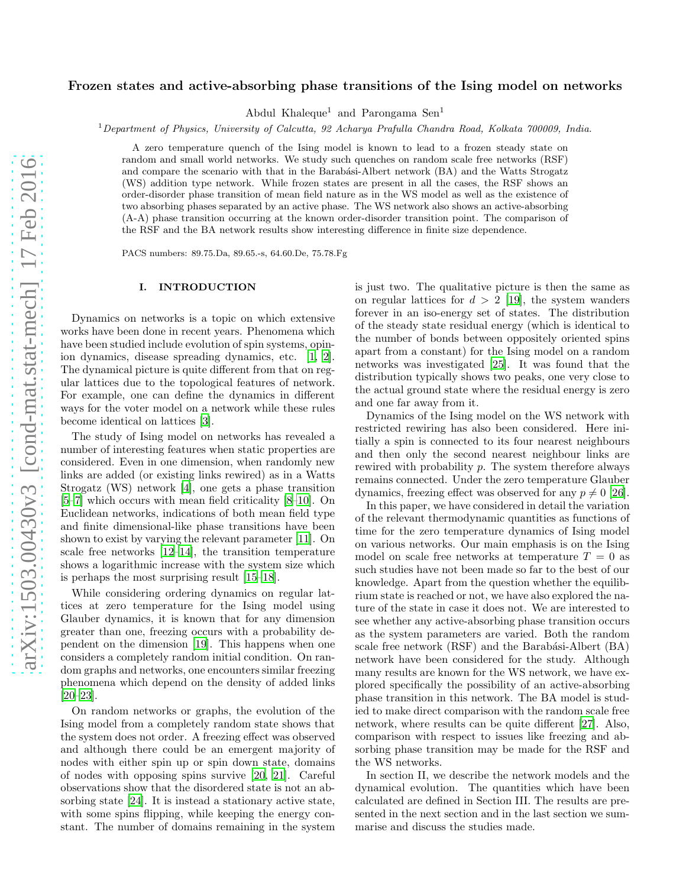# Frozen states and active-absorbing phase transitions of the Ising model on networks

Abdul Khaleque<sup>1</sup> and Parongama Sen<sup>1</sup>

<sup>1</sup>*Department of Physics, University of Calcutta, 92 Acharya Prafulla Chandra Road, Kolkata 700009, India.*

A zero temperature quench of the Ising model is known to lead to a frozen steady state on random and small world networks. We study such quenches on random scale free networks (RSF) and compare the scenario with that in the Barabási-Albert network (BA) and the Watts Strogatz (WS) addition type network. While frozen states are present in all the cases, the RSF shows an order-disorder phase transition of mean field nature as in the WS model as well as the existence of two absorbing phases separated by an active phase. The WS network also shows an active-absorbing (A-A) phase transition occurring at the known order-disorder transition point. The comparison of the RSF and the BA network results show interesting difference in finite size dependence.

PACS numbers: 89.75.Da, 89.65.-s, 64.60.De, 75.78.Fg

## I. INTRODUCTION

Dynamics on networks is a topic on which extensive works have been done in recent years. Phenomena which have been studied include evolution of spin systems, opinion dynamics, disease spreading dynamics, etc. [\[1](#page-5-0), [2\]](#page-5-1). The dynamical picture is quite different from that on regular lattices due to the topological features of network. For example, one can define the dynamics in different ways for the voter model on a network while these rules become identical on lattices [\[3\]](#page-6-0).

The study of Ising model on networks has revealed a number of interesting features when static properties are considered. Even in one dimension, when randomly new links are added (or existing links rewired) as in a Watts Strogatz (WS) network [\[4\]](#page-6-1), one gets a phase transition [\[5](#page-6-2)[–7\]](#page-6-3) which occurs with mean field criticality [\[8](#page-6-4)[–10\]](#page-6-5). On Euclidean networks, indications of both mean field type and finite dimensional-like phase transitions have been shown to exist by varying the relevant parameter [\[11](#page-6-6)]. On scale free networks [\[12](#page-6-7)[–14](#page-6-8)], the transition temperature shows a logarithmic increase with the system size which is perhaps the most surprising result [\[15](#page-6-9)[–18\]](#page-6-10).

While considering ordering dynamics on regular lattices at zero temperature for the Ising model using Glauber dynamics, it is known that for any dimension greater than one, freezing occurs with a probability dependent on the dimension [\[19](#page-6-11)]. This happens when one considers a completely random initial condition. On random graphs and networks, one encounters similar freezing phenomena which depend on the density of added links [\[20](#page-6-12)[–23\]](#page-6-13).

On random networks or graphs, the evolution of the Ising model from a completely random state shows that the system does not order. A freezing effect was observed and although there could be an emergent majority of nodes with either spin up or spin down state, domains of nodes with opposing spins survive [\[20,](#page-6-12) [21\]](#page-6-14). Careful observations show that the disordered state is not an absorbing state [\[24\]](#page-6-15). It is instead a stationary active state, with some spins flipping, while keeping the energy constant. The number of domains remaining in the system is just two. The qualitative picture is then the same as on regular lattices for  $d > 2$  [\[19\]](#page-6-11), the system wanders forever in an iso-energy set of states. The distribution of the steady state residual energy (which is identical to the number of bonds between oppositely oriented spins apart from a constant) for the Ising model on a random networks was investigated [\[25\]](#page-6-16). It was found that the distribution typically shows two peaks, one very close to the actual ground state where the residual energy is zero and one far away from it.

Dynamics of the Ising model on the WS network with restricted rewiring has also been considered. Here initially a spin is connected to its four nearest neighbours and then only the second nearest neighbour links are rewired with probability p. The system therefore always remains connected. Under the zero temperature Glauber dynamics, freezing effect was observed for any  $p \neq 0$  [\[26\]](#page-6-17).

In this paper, we have considered in detail the variation of the relevant thermodynamic quantities as functions of time for the zero temperature dynamics of Ising model on various networks. Our main emphasis is on the Ising model on scale free networks at temperature  $T = 0$  as such studies have not been made so far to the best of our knowledge. Apart from the question whether the equilibrium state is reached or not, we have also explored the nature of the state in case it does not. We are interested to see whether any active-absorbing phase transition occurs as the system parameters are varied. Both the random scale free network  $(RSF)$  and the Barabási-Albert  $(BA)$ network have been considered for the study. Although many results are known for the WS network, we have explored specifically the possibility of an active-absorbing phase transition in this network. The BA model is studied to make direct comparison with the random scale free network, where results can be quite different [\[27](#page-6-18)]. Also, comparison with respect to issues like freezing and absorbing phase transition may be made for the RSF and the WS networks.

In section II, we describe the network models and the dynamical evolution. The quantities which have been calculated are defined in Section III. The results are presented in the next section and in the last section we summarise and discuss the studies made.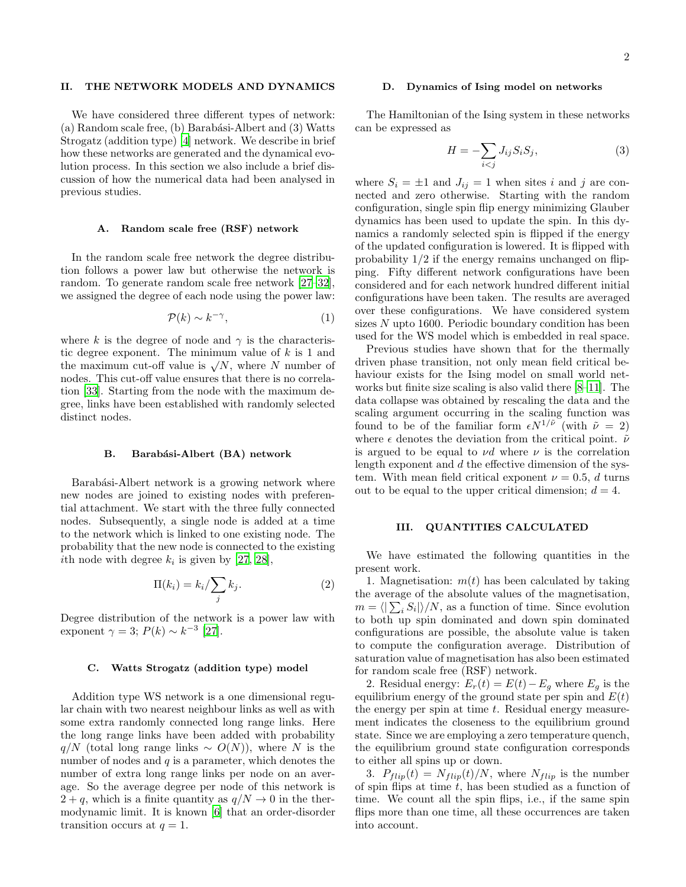# II. THE NETWORK MODELS AND DYNAMICS

We have considered three different types of network: (a) Random scale free, (b) Barabási-Albert and  $(3)$  Watts Strogatz (addition type) [\[4](#page-6-1)] network. We describe in brief how these networks are generated and the dynamical evolution process. In this section we also include a brief discussion of how the numerical data had been analysed in previous studies.

## A. Random scale free (RSF) network

In the random scale free network the degree distribution follows a power law but otherwise the network is random. To generate random scale free network [\[27](#page-6-18)[–32\]](#page-6-19), we assigned the degree of each node using the power law:

$$
\mathcal{P}(k) \sim k^{-\gamma},\tag{1}
$$

where k is the degree of node and  $\gamma$  is the characteristic degree exponent. The minimum value of  $k$  is 1 and the maximum cut-off value is  $\sqrt{N}$ , where N number of nodes. This cut-off value ensures that there is no correlation [\[33\]](#page-6-20). Starting from the node with the maximum degree, links have been established with randomly selected distinct nodes.

#### B. Barabási-Albert (BA) network

Barabási-Albert network is a growing network where new nodes are joined to existing nodes with preferential attachment. We start with the three fully connected nodes. Subsequently, a single node is added at a time to the network which is linked to one existing node. The probability that the new node is connected to the existing *i*th node with degree  $k_i$  is given by [\[27](#page-6-18), [28\]](#page-6-21),

$$
\Pi(k_i) = k_i / \sum_j k_j.
$$
 (2)

Degree distribution of the network is a power law with exponent  $\gamma = 3$ ;  $P(k) \sim k^{-3}$  [\[27\]](#page-6-18).

#### C. Watts Strogatz (addition type) model

Addition type WS network is a one dimensional regular chain with two nearest neighbour links as well as with some extra randomly connected long range links. Here the long range links have been added with probability  $q/N$  (total long range links ~  $O(N)$ ), where N is the number of nodes and  $q$  is a parameter, which denotes the number of extra long range links per node on an average. So the average degree per node of this network is  $2 + q$ , which is a finite quantity as  $q/N \rightarrow 0$  in the thermodynamic limit. It is known [\[6](#page-6-22)] that an order-disorder transition occurs at  $q = 1$ .

## <span id="page-1-0"></span>D. Dynamics of Ising model on networks

The Hamiltonian of the Ising system in these networks can be expressed as

$$
H = -\sum_{i < j} J_{ij} S_i S_j,\tag{3}
$$

where  $S_i = \pm 1$  and  $J_{ij} = 1$  when sites i and j are connected and zero otherwise. Starting with the random configuration, single spin flip energy minimizing Glauber dynamics has been used to update the spin. In this dynamics a randomly selected spin is flipped if the energy of the updated configuration is lowered. It is flipped with probability  $1/2$  if the energy remains unchanged on flipping. Fifty different network configurations have been considered and for each network hundred different initial configurations have been taken. The results are averaged over these configurations. We have considered system sizes N upto 1600. Periodic boundary condition has been used for the WS model which is embedded in real space.

Previous studies have shown that for the thermally driven phase transition, not only mean field critical behaviour exists for the Ising model on small world networks but finite size scaling is also valid there [\[8](#page-6-4)[–11](#page-6-6)]. The data collapse was obtained by rescaling the data and the scaling argument occurring in the scaling function was found to be of the familiar form  $\epsilon N^{1/\tilde{\nu}}$  (with  $\tilde{\nu} = 2$ ) where  $\epsilon$  denotes the deviation from the critical point.  $\tilde{\nu}$ is argued to be equal to  $\nu d$  where  $\nu$  is the correlation length exponent and d the effective dimension of the system. With mean field critical exponent  $\nu = 0.5$ , d turns out to be equal to the upper critical dimension;  $d = 4$ .

### III. QUANTITIES CALCULATED

We have estimated the following quantities in the present work.

1. Magnetisation:  $m(t)$  has been calculated by taking the average of the absolute values of the magnetisation,  $m = \langle |\sum_i S_i| \rangle / N$ , as a function of time. Since evolution to both up spin dominated and down spin dominated configurations are possible, the absolute value is taken to compute the configuration average. Distribution of saturation value of magnetisation has also been estimated for random scale free (RSF) network.

2. Residual energy:  $E_r(t) = E(t) - E_q$  where  $E_q$  is the equilibrium energy of the ground state per spin and  $E(t)$ the energy per spin at time  $t$ . Residual energy measurement indicates the closeness to the equilibrium ground state. Since we are employing a zero temperature quench, the equilibrium ground state configuration corresponds to either all spins up or down.

3.  $P_{flip}(t) = N_{flip}(t)/N$ , where  $N_{flip}$  is the number of spin flips at time  $t$ , has been studied as a function of time. We count all the spin flips, i.e., if the same spin flips more than one time, all these occurrences are taken into account.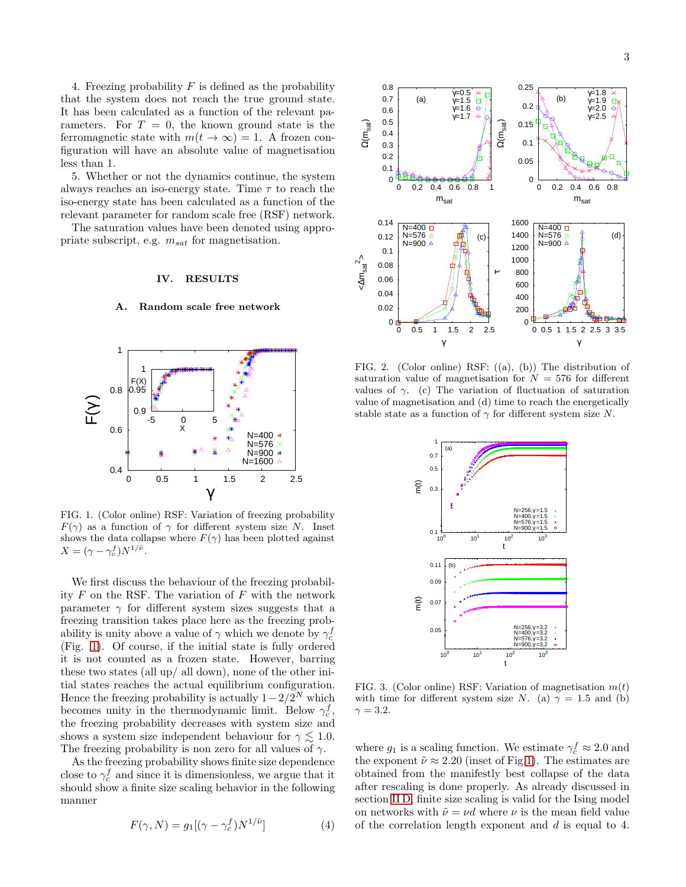4. Freezing probability  $F$  is defined as the probability that the system does not reach the true ground state. It has been calculated as a function of the relevant parameters. For  $T = 0$ , the known ground state is the ferromagnetic state with  $m(t \to \infty) = 1$ . A frozen configuration will have an absolute value of magnetisation less than 1.

5. Whether or not the dynamics continue, the system always reaches an iso-energy state. Time  $\tau$  to reach the iso-energy state has been calculated as a function of the relevant parameter for random scale free (RSF) network.

The saturation values have been denoted using appropriate subscript, e.g.  $m_{sat}$  for magnetisation.

## IV. RESULTS

#### A. Random scale free network



<span id="page-2-0"></span>FIG. 1. (Color online) RSF: Variation of freezing probability  $F(\gamma)$  as a function of  $\gamma$  for different system size N. Inset shows the data collapse where  $F(\gamma)$  has been plotted against  $X = (\gamma - \gamma_c^f) N^{1/\tilde{\nu}}.$ 

We first discuss the behaviour of the freezing probability  $F$  on the RSF. The variation of  $F$  with the network parameter  $\gamma$  for different system sizes suggests that a freezing transition takes place here as the freezing probability is unity above a value of  $\gamma$  which we denote by  $\gamma_c^f$ (Fig. [1\)](#page-2-0). Of course, if the initial state is fully ordered it is not counted as a frozen state. However, barring these two states (all up/ all down), none of the other initial states reaches the actual equilibrium configuration. Hence the freezing probability is actually  $1-2/2^N$  which becomes unity in the thermodynamic limit. Below  $\gamma_c^f$ , the freezing probability decreases with system size and shows a system size independent behaviour for  $\gamma \lesssim 1.0$ . The freezing probability is non zero for all values of  $\gamma$ .

As the freezing probability shows finite size dependence close to  $\gamma_c^f$  and since it is dimensionless, we argue that it should show a finite size scaling behavior in the following manner

$$
F(\gamma, N) = g_1[(\gamma - \gamma_c^f)N^{1/\tilde{\nu}}]
$$
\n(4)



<span id="page-2-1"></span>FIG. 2. (Color online) RSF: ((a), (b)) The distribution of saturation value of magnetisation for  $N = 576$  for different values of  $\gamma$ . (c) The variation of fluctuation of saturation value of magnetisation and (d) time to reach the energetically stable state as a function of  $\gamma$  for different system size N.



<span id="page-2-2"></span>FIG. 3. (Color online) RSF: Variation of magnetisation  $m(t)$ with time for different system size N. (a)  $\gamma = 1.5$  and (b)  $\gamma = 3.2$ .

where  $g_1$  is a scaling function. We estimate  $\gamma_c^f \approx 2.0$  and the exponent  $\tilde{\nu} \approx 2.20$  (inset of Fig[.1\)](#page-2-0). The estimates are obtained from the manifestly best collapse of the data after rescaling is done properly. As already discussed in section [II D,](#page-1-0) finite size scaling is valid for the Ising model on networks with  $\tilde{\nu} = \nu d$  where  $\nu$  is the mean field value of the correlation length exponent and d is equal to 4.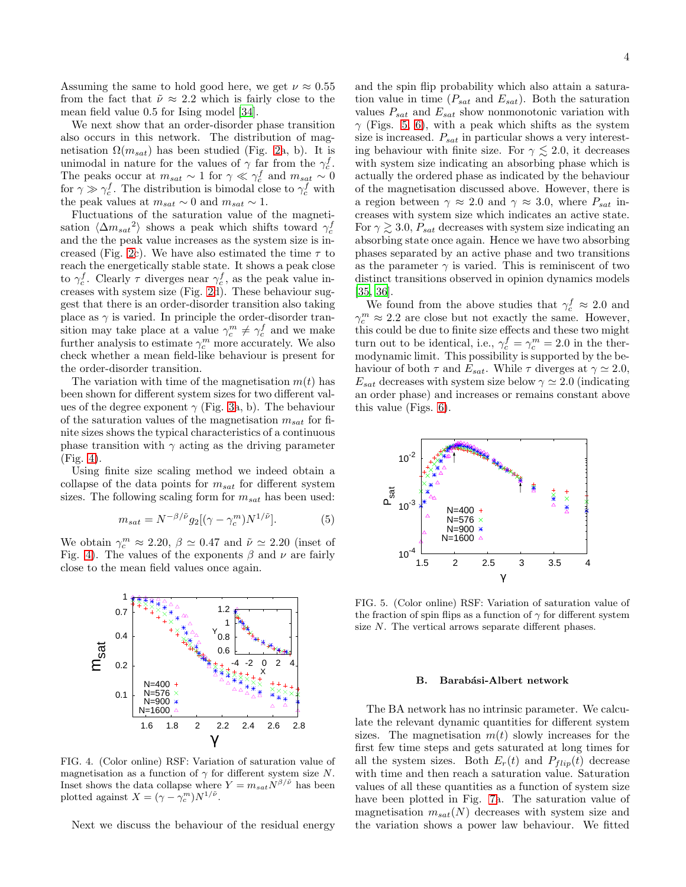Assuming the same to hold good here, we get  $\nu \approx 0.55$ from the fact that  $\tilde{\nu} \approx 2.2$  which is fairly close to the mean field value 0.5 for Ising model [\[34\]](#page-6-23).

We next show that an order-disorder phase transition also occurs in this network. The distribution of magnetisation  $\Omega(m_{sat})$  has been studied (Fig. [2a](#page-2-1), b). It is unimodal in nature for the values of  $\gamma$  far from the  $\gamma_c^f$ . The peaks occur at  $m_{sat} \sim 1$  for  $\gamma \ll \gamma_c^f$  and  $m_{sat} \sim 0$ for  $\gamma \gg \gamma_c^f$ . The distribution is bimodal close to  $\gamma_c^f$  with the peak values at  $m_{sat} \sim 0$  and  $m_{sat} \sim 1$ .

Fluctuations of the saturation value of the magnetisation  $\langle \Delta m_{sat}^2 \rangle$  shows a peak which shifts toward  $\gamma_c^f$ and the the peak value increases as the system size is in-creased (Fig. [2c](#page-2-1)). We have also estimated the time  $\tau$  to reach the energetically stable state. It shows a peak close to  $\gamma_c^f$ . Clearly  $\tau$  diverges near  $\gamma_c^f$ , as the peak value increases with system size (Fig. [2d](#page-2-1)). These behaviour suggest that there is an order-disorder transition also taking place as  $\gamma$  is varied. In principle the order-disorder transition may take place at a value  $\gamma_c^m \neq \gamma_c^f$  and we make further analysis to estimate  $\gamma_c^m$  more accurately. We also check whether a mean field-like behaviour is present for the order-disorder transition.

The variation with time of the magnetisation  $m(t)$  has been shown for different system sizes for two different values of the degree exponent  $\gamma$  (Fig. [3a](#page-2-2), b). The behaviour of the saturation values of the magnetisation  $m_{sat}$  for finite sizes shows the typical characteristics of a continuous phase transition with  $\gamma$  acting as the driving parameter (Fig. [4\)](#page-3-0).

Using finite size scaling method we indeed obtain a collapse of the data points for  $m_{sat}$  for different system sizes. The following scaling form for  $m_{sat}$  has been used:

$$
m_{sat} = N^{-\beta/\tilde{\nu}} g_2[(\gamma - \gamma_c^m) N^{1/\tilde{\nu}}]. \tag{5}
$$

We obtain  $\gamma_c^m \approx 2.20$ ,  $\beta \simeq 0.47$  and  $\tilde{\nu} \simeq 2.20$  (inset of Fig. [4\)](#page-3-0). The values of the exponents  $\beta$  and  $\nu$  are fairly close to the mean field values once again.



<span id="page-3-0"></span>FIG. 4. (Color online) RSF: Variation of saturation value of magnetisation as a function of  $\gamma$  for different system size N. Inset shows the data collapse where  $Y = m_{sat} N^{\beta/\tilde{\nu}}$  has been plotted against  $X = (\gamma - \gamma_c^m) N^{1/\tilde{\nu}}$ .

Next we discuss the behaviour of the residual energy

and the spin flip probability which also attain a saturation value in time  $(P_{sat}$  and  $E_{sat}$ ). Both the saturation values  $P_{sat}$  and  $E_{sat}$  show nonmonotonic variation with  $\gamma$  (Figs. [5,](#page-3-1) [6\)](#page-4-0), with a peak which shifts as the system size is increased.  $P_{sat}$  in particular shows a very interesting behaviour with finite size. For  $\gamma \lesssim 2.0$ , it decreases with system size indicating an absorbing phase which is actually the ordered phase as indicated by the behaviour of the magnetisation discussed above. However, there is a region between  $\gamma \approx 2.0$  and  $\gamma \approx 3.0$ , where  $P_{sat}$  increases with system size which indicates an active state. For  $\gamma \gtrsim 3.0$ ,  $P_{sat}$  decreases with system size indicating an absorbing state once again. Hence we have two absorbing phases separated by an active phase and two transitions as the parameter  $\gamma$  is varied. This is reminiscent of two distinct transitions observed in opinion dynamics models [\[35,](#page-6-24) [36\]](#page-6-25).

We found from the above studies that  $\gamma_c^f \approx 2.0$  and  $\gamma_c^m \approx 2.2$  are close but not exactly the same. However, this could be due to finite size effects and these two might turn out to be identical, i.e.,  $\gamma_c^f = \gamma_c^m = 2.0$  in the thermodynamic limit. This possibility is supported by the behaviour of both  $\tau$  and  $E_{sat}$ . While  $\tau$  diverges at  $\gamma \simeq 2.0$ ,  $E_{sat}$  decreases with system size below  $\gamma \simeq 2.0$  (indicating an order phase) and increases or remains constant above this value (Figs. [6\)](#page-4-0).



<span id="page-3-1"></span>FIG. 5. (Color online) RSF: Variation of saturation value of the fraction of spin flips as a function of  $\gamma$  for different system size N. The vertical arrows separate different phases.

#### B. Barabási-Albert network

The BA network has no intrinsic parameter. We calculate the relevant dynamic quantities for different system sizes. The magnetisation  $m(t)$  slowly increases for the first few time steps and gets saturated at long times for all the system sizes. Both  $E_r(t)$  and  $P_{flip}(t)$  decrease with time and then reach a saturation value. Saturation values of all these quantities as a function of system size have been plotted in Fig. [7a](#page-4-1). The saturation value of magnetisation  $m_{sat}(N)$  decreases with system size and the variation shows a power law behaviour. We fitted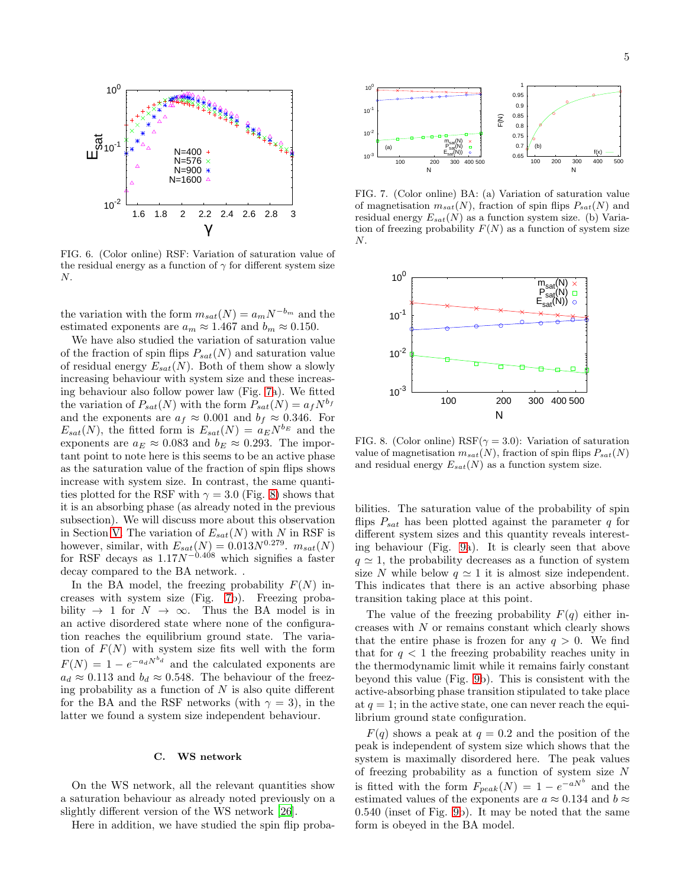

<span id="page-4-0"></span>FIG. 6. (Color online) RSF: Variation of saturation value of the residual energy as a function of  $\gamma$  for different system size N.

the variation with the form  $m_{sat}(N) = a_m N^{-b_m}$  and the estimated exponents are  $a_m \approx 1.467$  and  $b_m \approx 0.150$ .

We have also studied the variation of saturation value of the fraction of spin flips  $P_{sat}(N)$  and saturation value of residual energy  $E_{sat}(N)$ . Both of them show a slowly increasing behaviour with system size and these increasing behaviour also follow power law (Fig. [7a](#page-4-1)). We fitted the variation of  $P_{sat}(N)$  with the form  $P_{sat}(N) = a_f N^{b_f}$ and the exponents are  $a_f \approx 0.001$  and  $b_f \approx 0.346$ . For  $E_{sat}(N)$ , the fitted form is  $E_{sat}(N) = a_E N^{b_E}$  and the exponents are  $a_E \approx 0.083$  and  $b_E \approx 0.293$ . The important point to note here is this seems to be an active phase as the saturation value of the fraction of spin flips shows increase with system size. In contrast, the same quantities plotted for the RSF with  $\gamma = 3.0$  (Fig. [8\)](#page-4-2) shows that it is an absorbing phase (as already noted in the previous subsection). We will discuss more about this observation in Section [V.](#page-5-2) The variation of  $E_{sat}(N)$  with N in RSF is however, similar, with  $E_{sat}(N) = 0.013N^{0.279}$ .  $m_{sat}(N)$ for RSF decays as  $1.17N^{-0.408}$  which signifies a faster decay compared to the BA network. .

In the BA model, the freezing probability  $F(N)$  increases with system size (Fig. [7b](#page-4-1)). Freezing probability  $\rightarrow$  1 for  $N \rightarrow \infty$ . Thus the BA model is in an active disordered state where none of the configuration reaches the equilibrium ground state. The variation of  $F(N)$  with system size fits well with the form  $F(N) = 1 - e^{-a_d N^{b_d}}$  and the calculated exponents are  $a_d \approx 0.113$  and  $b_d \approx 0.548$ . The behaviour of the freezing probability as a function of  $N$  is also quite different for the BA and the RSF networks (with  $\gamma = 3$ ), in the latter we found a system size independent behaviour.

## C. WS network

On the WS network, all the relevant quantities show a saturation behaviour as already noted previously on a slightly different version of the WS network [\[26\]](#page-6-17).

Here in addition, we have studied the spin flip proba-



<span id="page-4-1"></span>FIG. 7. (Color online) BA: (a) Variation of saturation value of magnetisation  $m_{sat}(N)$ , fraction of spin flips  $P_{sat}(N)$  and residual energy  $E_{sat}(N)$  as a function system size. (b) Variation of freezing probability  $F(N)$  as a function of system size N.



<span id="page-4-2"></span>FIG. 8. (Color online) RSF( $\gamma = 3.0$ ): Variation of saturation value of magnetisation  $m_{sat}(N)$ , fraction of spin flips  $P_{sat}(N)$ and residual energy  $E_{sat}(N)$  as a function system size.

bilities. The saturation value of the probability of spin flips  $P_{sat}$  has been plotted against the parameter q for different system sizes and this quantity reveals interesting behaviour (Fig. [9a](#page-5-3)). It is clearly seen that above  $q \approx 1$ , the probability decreases as a function of system size N while below  $q \approx 1$  it is almost size independent. This indicates that there is an active absorbing phase transition taking place at this point.

The value of the freezing probability  $F(q)$  either increases with  $N$  or remains constant which clearly shows that the entire phase is frozen for any  $q > 0$ . We find that for  $q < 1$  the freezing probability reaches unity in the thermodynamic limit while it remains fairly constant beyond this value (Fig. [9b](#page-5-3)). This is consistent with the active-absorbing phase transition stipulated to take place at  $q = 1$ ; in the active state, one can never reach the equilibrium ground state configuration.

 $F(q)$  shows a peak at  $q = 0.2$  and the position of the peak is independent of system size which shows that the system is maximally disordered here. The peak values of freezing probability as a function of system size  $N$ is fitted with the form  $F_{peak}(N) = 1 - e^{-aN^b}$  and the estimated values of the exponents are  $a \approx 0.134$  and  $b \approx$ 0.540 (inset of Fig. [9b](#page-5-3)). It may be noted that the same form is obeyed in the BA model.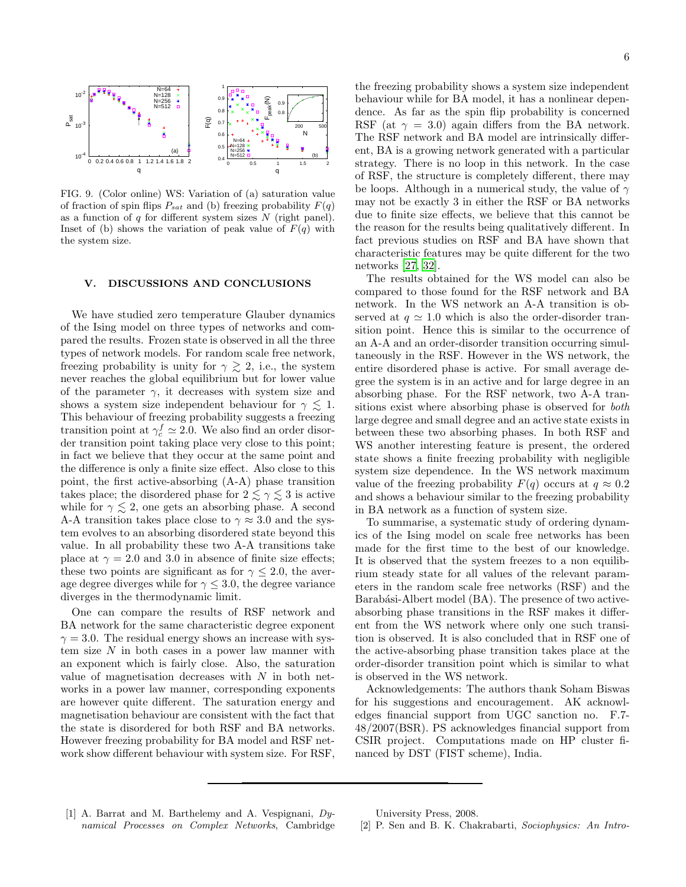6



<span id="page-5-3"></span>FIG. 9. (Color online) WS: Variation of (a) saturation value of fraction of spin flips  $P_{sat}$  and (b) freezing probability  $F(q)$ as a function of  $q$  for different system sizes  $N$  (right panel). Inset of (b) shows the variation of peak value of  $F(q)$  with the system size.

# <span id="page-5-2"></span>V. DISCUSSIONS AND CONCLUSIONS

We have studied zero temperature Glauber dynamics of the Ising model on three types of networks and compared the results. Frozen state is observed in all the three types of network models. For random scale free network, freezing probability is unity for  $\gamma \gtrsim 2$ , i.e., the system never reaches the global equilibrium but for lower value of the parameter  $\gamma$ , it decreases with system size and shows a system size independent behaviour for  $\gamma \lesssim 1$ . This behaviour of freezing probability suggests a freezing transition point at  $\gamma_c^f \simeq 2.0$ . We also find an order disorder transition point taking place very close to this point; in fact we believe that they occur at the same point and the difference is only a finite size effect. Also close to this point, the first active-absorbing (A-A) phase transition takes place; the disordered phase for  $2 \lesssim \gamma \lesssim 3$  is active while for  $\gamma \leq 2$ , one gets an absorbing phase. A second A-A transition takes place close to  $\gamma \approx 3.0$  and the system evolves to an absorbing disordered state beyond this value. In all probability these two A-A transitions take place at  $\gamma = 2.0$  and 3.0 in absence of finite size effects; these two points are significant as for  $\gamma \leq 2.0$ , the average degree diverges while for  $\gamma \leq 3.0$ , the degree variance diverges in the thermodynamic limit.

One can compare the results of RSF network and BA network for the same characteristic degree exponent  $\gamma = 3.0$ . The residual energy shows an increase with system size  $N$  in both cases in a power law manner with an exponent which is fairly close. Also, the saturation value of magnetisation decreases with  $N$  in both networks in a power law manner, corresponding exponents are however quite different. The saturation energy and magnetisation behaviour are consistent with the fact that the state is disordered for both RSF and BA networks. However freezing probability for BA model and RSF network show different behaviour with system size. For RSF,

the freezing probability shows a system size independent behaviour while for BA model, it has a nonlinear dependence. As far as the spin flip probability is concerned RSF (at  $\gamma = 3.0$ ) again differs from the BA network. The RSF network and BA model are intrinsically different, BA is a growing network generated with a particular strategy. There is no loop in this network. In the case of RSF, the structure is completely different, there may be loops. Although in a numerical study, the value of  $\gamma$ may not be exactly 3 in either the RSF or BA networks due to finite size effects, we believe that this cannot be the reason for the results being qualitatively different. In fact previous studies on RSF and BA have shown that characteristic features may be quite different for the two networks [\[27,](#page-6-18) [32\]](#page-6-19).

The results obtained for the WS model can also be compared to those found for the RSF network and BA network. In the WS network an A-A transition is observed at  $q \approx 1.0$  which is also the order-disorder transition point. Hence this is similar to the occurrence of an A-A and an order-disorder transition occurring simultaneously in the RSF. However in the WS network, the entire disordered phase is active. For small average degree the system is in an active and for large degree in an absorbing phase. For the RSF network, two A-A transitions exist where absorbing phase is observed for both large degree and small degree and an active state exists in between these two absorbing phases. In both RSF and WS another interesting feature is present, the ordered state shows a finite freezing probability with negligible system size dependence. In the WS network maximum value of the freezing probability  $F(q)$  occurs at  $q \approx 0.2$ and shows a behaviour similar to the freezing probability in BA network as a function of system size.

To summarise, a systematic study of ordering dynamics of the Ising model on scale free networks has been made for the first time to the best of our knowledge. It is observed that the system freezes to a non equilibrium steady state for all values of the relevant parameters in the random scale free networks (RSF) and the Barabási-Albert model (BA). The presence of two activeabsorbing phase transitions in the RSF makes it different from the WS network where only one such transition is observed. It is also concluded that in RSF one of the active-absorbing phase transition takes place at the order-disorder transition point which is similar to what is observed in the WS network.

Acknowledgements: The authors thank Soham Biswas for his suggestions and encouragement. AK acknowledges financial support from UGC sanction no. F.7- 48/2007(BSR). PS acknowledges financial support from CSIR project. Computations made on HP cluster financed by DST (FIST scheme), India.

<span id="page-5-0"></span>[1] A. Barrat and M. Barthelemy and A. Vespignani, *Dynamical Processes on Complex Networks*, Cambridge

<span id="page-5-1"></span>[2] P. Sen and B. K. Chakrabarti, *Sociophysics: An Intro-*

University Press, 2008.